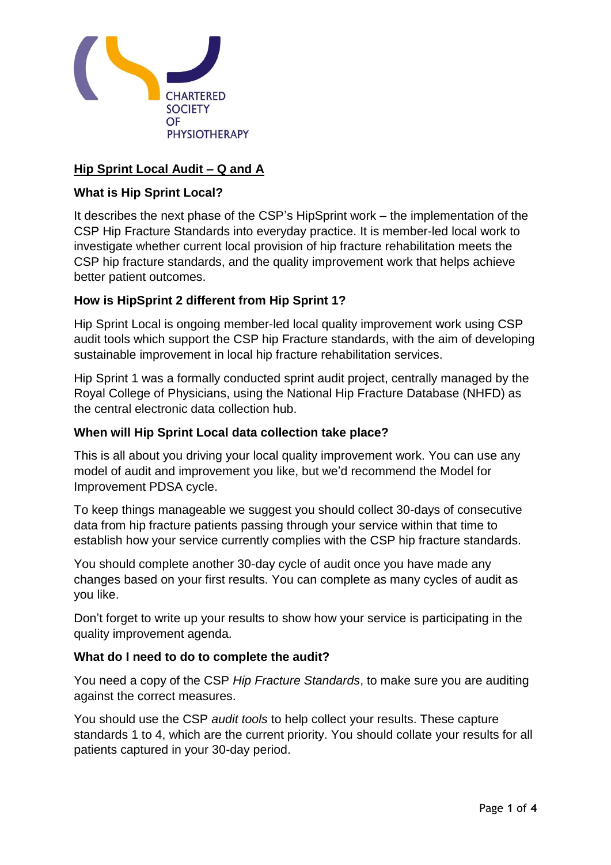

# **Hip Sprint Local Audit – Q and A**

#### **What is Hip Sprint Local?**

It describes the next phase of the CSP's HipSprint work – the implementation of the CSP Hip Fracture Standards into everyday practice. It is member-led local work to investigate whether current local provision of hip fracture rehabilitation meets the CSP hip fracture standards, and the quality improvement work that helps achieve better patient outcomes.

# **How is HipSprint 2 different from Hip Sprint 1?**

Hip Sprint Local is ongoing member-led local quality improvement work using CSP audit tools which support the CSP hip Fracture standards, with the aim of developing sustainable improvement in local hip fracture rehabilitation services.

Hip Sprint 1 was a formally conducted sprint audit project, centrally managed by the Royal College of Physicians, using the National Hip Fracture Database (NHFD) as the central electronic data collection hub.

#### **When will Hip Sprint Local data collection take place?**

This is all about you driving your local quality improvement work. You can use any model of audit and improvement you like, but we'd recommend the Model for Improvement PDSA cycle.

To keep things manageable we suggest you should collect 30-days of consecutive data from hip fracture patients passing through your service within that time to establish how your service currently complies with the CSP hip fracture standards.

You should complete another 30-day cycle of audit once you have made any changes based on your first results. You can complete as many cycles of audit as you like.

Don't forget to write up your results to show how your service is participating in the quality improvement agenda.

#### **What do I need to do to complete the audit?**

You need a copy of the CSP *Hip Fracture Standards*, to make sure you are auditing against the correct measures.

You should use the CSP *audit tools* to help collect your results. These capture standards 1 to 4, which are the current priority. You should collate your results for all patients captured in your 30-day period.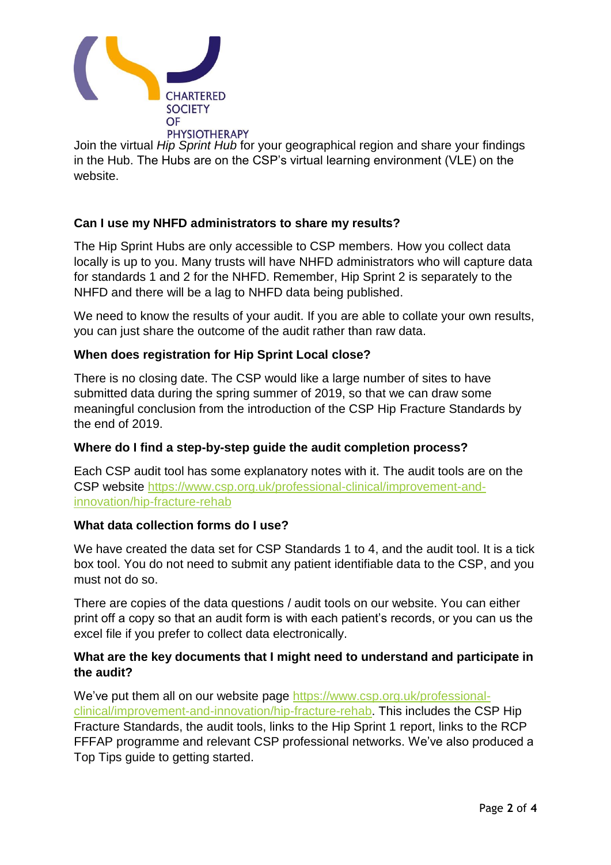

Join the virtual *Hip Sprint Hub* for your geographical region and share your findings in the Hub. The Hubs are on the CSP's virtual learning environment (VLE) on the website.

# **Can I use my NHFD administrators to share my results?**

The Hip Sprint Hubs are only accessible to CSP members. How you collect data locally is up to you. Many trusts will have NHFD administrators who will capture data for standards 1 and 2 for the NHFD. Remember, Hip Sprint 2 is separately to the NHFD and there will be a lag to NHFD data being published.

We need to know the results of your audit. If you are able to collate your own results, you can just share the outcome of the audit rather than raw data.

#### **When does registration for Hip Sprint Local close?**

There is no closing date. The CSP would like a large number of sites to have submitted data during the spring summer of 2019, so that we can draw some meaningful conclusion from the introduction of the CSP Hip Fracture Standards by the end of 2019.

#### **Where do I find a step-by-step guide the audit completion process?**

Each CSP audit tool has some explanatory notes with it. The audit tools are on the CSP website [https://www.csp.org.uk/professional-clinical/improvement-and](https://www.csp.org.uk/professional-clinical/improvement-and-innovation/hip-fracture-rehab)[innovation/hip-fracture-rehab](https://www.csp.org.uk/professional-clinical/improvement-and-innovation/hip-fracture-rehab)

#### **What data collection forms do I use?**

We have created the data set for CSP Standards 1 to 4, and the audit tool. It is a tick box tool. You do not need to submit any patient identifiable data to the CSP, and you must not do so.

There are copies of the data questions / audit tools on our website. You can either print off a copy so that an audit form is with each patient's records, or you can us the excel file if you prefer to collect data electronically.

# **What are the key documents that I might need to understand and participate in the audit?**

We've put them all on our website page [https://www.csp.org.uk/professional](https://www.csp.org.uk/professional-clinical/improvement-and-innovation/hip-fracture-rehab)[clinical/improvement-and-innovation/hip-fracture-rehab.](https://www.csp.org.uk/professional-clinical/improvement-and-innovation/hip-fracture-rehab) This includes the CSP Hip Fracture Standards, the audit tools, links to the Hip Sprint 1 report, links to the RCP FFFAP programme and relevant CSP professional networks. We've also produced a Top Tips guide to getting started.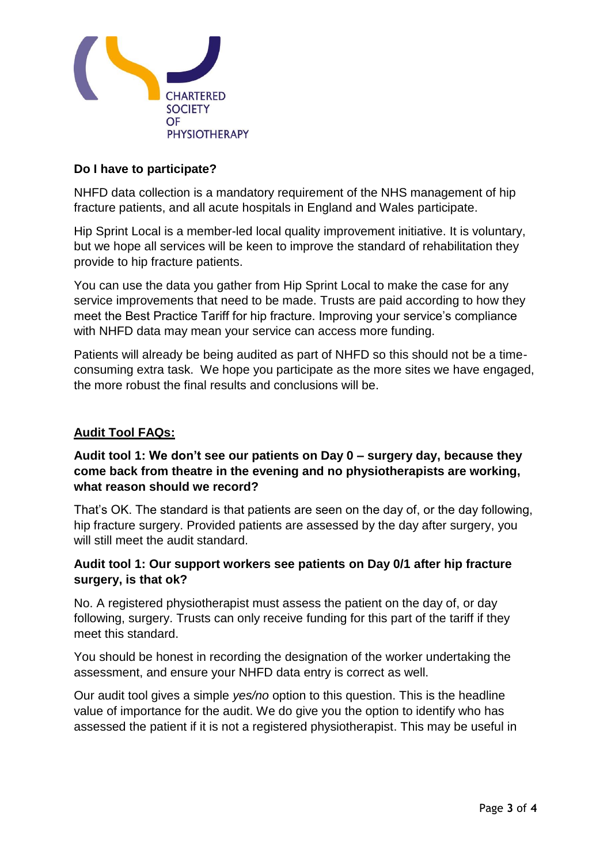

# **Do I have to participate?**

NHFD data collection is a mandatory requirement of the NHS management of hip fracture patients, and all acute hospitals in England and Wales participate.

Hip Sprint Local is a member-led local quality improvement initiative. It is voluntary, but we hope all services will be keen to improve the standard of rehabilitation they provide to hip fracture patients.

You can use the data you gather from Hip Sprint Local to make the case for any service improvements that need to be made. Trusts are paid according to how they meet the Best Practice Tariff for hip fracture. Improving your service's compliance with NHFD data may mean your service can access more funding.

Patients will already be being audited as part of NHFD so this should not be a timeconsuming extra task. We hope you participate as the more sites we have engaged, the more robust the final results and conclusions will be.

# **Audit Tool FAQs:**

# **Audit tool 1: We don't see our patients on Day 0 – surgery day, because they come back from theatre in the evening and no physiotherapists are working, what reason should we record?**

That's OK. The standard is that patients are seen on the day of, or the day following, hip fracture surgery. Provided patients are assessed by the day after surgery, you will still meet the audit standard.

#### **Audit tool 1: Our support workers see patients on Day 0/1 after hip fracture surgery, is that ok?**

No. A registered physiotherapist must assess the patient on the day of, or day following, surgery. Trusts can only receive funding for this part of the tariff if they meet this standard.

You should be honest in recording the designation of the worker undertaking the assessment, and ensure your NHFD data entry is correct as well.

Our audit tool gives a simple *yes/no* option to this question. This is the headline value of importance for the audit. We do give you the option to identify who has assessed the patient if it is not a registered physiotherapist. This may be useful in